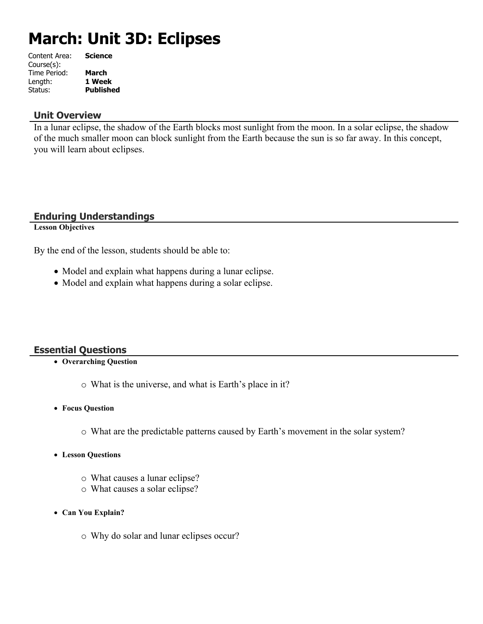# **March: Unit 3D: Eclipses**

| <b>Science</b>   |
|------------------|
|                  |
| <b>March</b>     |
| 1 Week           |
| <b>Published</b> |
|                  |

#### **Unit Overview**

In a lunar eclipse, the shadow of the Earth blocks most sunlight from the moon. In a solar eclipse, the shadow of the much smaller moon can block sunlight from the Earth because the sun is so far away. In this concept, you will learn about eclipses.

#### **Enduring Understandings**

**Lesson Objectives**

By the end of the lesson, students should be able to:

- Model and explain what happens during a lunar eclipse.
- Model and explain what happens during a solar eclipse.

#### **Essential Questions**

- **Overarching Question**
	- o What is the universe, and what is Earth's place in it?
- **Focus Question**
	- o What are the predictable patterns caused by Earth's movement in the solar system?
- **Lesson Questions**
	- o What causes a lunar eclipse?
	- o What causes a solar eclipse?
- **Can You Explain?**
	- o Why do solar and lunar eclipses occur?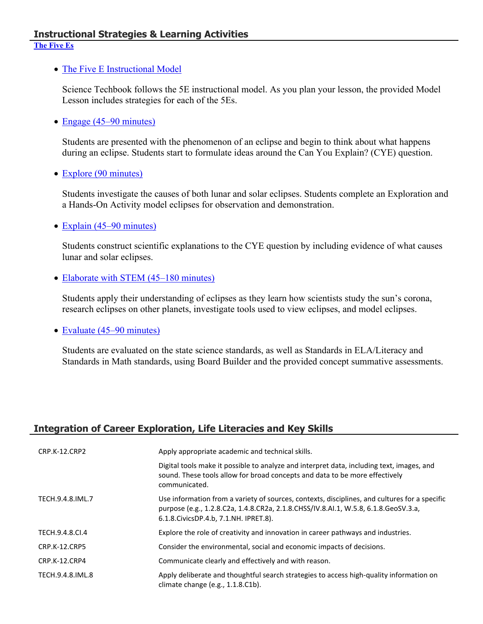#### **Instructional Strategies & Learning Activities [The Five Es](https://app.discoveryeducation.com/learn/techbook/units/c3ee5e64-c45f-447e-bbd8-cf869f21f1de/concepts/b856aa37-bdfa-4039-9609-712965fd01b6/lesson/sections/3345c01f-36f7-4da2-b2de-488cded496b7)**

#### • [The Five E Instructional Model](https://app.discoveryeducation.com/learn/techbook/units/c3ee5e64-c45f-447e-bbd8-cf869f21f1de/concepts/b856aa37-bdfa-4039-9609-712965fd01b6/lesson/sections/3345c01f-36f7-4da2-b2de-488cded496b7#07ed6fbd-3b9d-4874-9ecd-ba3b0e01f5e2)

Science Techbook follows the 5E instructional model. As you plan your lesson, the provided Model Lesson includes strategies for each of the 5Es.

• [Engage \(45–90 minutes\)](https://app.discoveryeducation.com/learn/techbook/units/c3ee5e64-c45f-447e-bbd8-cf869f21f1de/concepts/b856aa37-bdfa-4039-9609-712965fd01b6/lesson/sections/3345c01f-36f7-4da2-b2de-488cded496b7#ccdd27ea-30cf-4123-8062-b7450f50c4aa)

Students are presented with the phenomenon of an eclipse and begin to think about what happens during an eclipse. Students start to formulate ideas around the Can You Explain? (CYE) question.

• [Explore \(90 minutes\)](https://app.discoveryeducation.com/learn/techbook/units/c3ee5e64-c45f-447e-bbd8-cf869f21f1de/concepts/b856aa37-bdfa-4039-9609-712965fd01b6/lesson/sections/3345c01f-36f7-4da2-b2de-488cded496b7#dd841d08-af47-4455-95f3-bdc51389d97c)

Students investigate the causes of both lunar and solar eclipses. Students complete an Exploration and a Hands-On Activity model eclipses for observation and demonstration.

• [Explain \(45–90 minutes\)](https://app.discoveryeducation.com/learn/techbook/units/c3ee5e64-c45f-447e-bbd8-cf869f21f1de/concepts/b856aa37-bdfa-4039-9609-712965fd01b6/lesson/sections/3345c01f-36f7-4da2-b2de-488cded496b7#f25e781e-0292-4348-ac47-d4bf36cd812d)

Students construct scientific explanations to the CYE question by including evidence of what causes lunar and solar eclipses.

• [Elaborate with STEM \(45–180 minutes\)](https://app.discoveryeducation.com/learn/techbook/units/c3ee5e64-c45f-447e-bbd8-cf869f21f1de/concepts/b856aa37-bdfa-4039-9609-712965fd01b6/lesson/sections/3345c01f-36f7-4da2-b2de-488cded496b7#d2a989ad-7b54-4130-b9ee-4cb78943be0d)

Students apply their understanding of eclipses as they learn how scientists study the sun's corona, research eclipses on other planets, investigate tools used to view eclipses, and model eclipses.

• [Evaluate \(45–90 minutes\)](https://app.discoveryeducation.com/learn/techbook/units/c3ee5e64-c45f-447e-bbd8-cf869f21f1de/concepts/b856aa37-bdfa-4039-9609-712965fd01b6/lesson/sections/3345c01f-36f7-4da2-b2de-488cded496b7#bd4af76d-95f4-4f26-be25-601c0ef596ef)

Students are evaluated on the state science standards, as well as Standards in ELA/Literacy and Standards in Math standards, using Board Builder and the provided concept summative assessments.

## **Integration of Career Exploration, Life Literacies and Key Skills**

| CRP.K-12.CRP2        | Apply appropriate academic and technical skills.                                                                                                                                                                                   |
|----------------------|------------------------------------------------------------------------------------------------------------------------------------------------------------------------------------------------------------------------------------|
|                      | Digital tools make it possible to analyze and interpret data, including text, images, and<br>sound. These tools allow for broad concepts and data to be more effectively<br>communicated.                                          |
| TECH.9.4.8.IML.7     | Use information from a variety of sources, contexts, disciplines, and cultures for a specific<br>purpose (e.g., 1.2.8.C2a, 1.4.8.CR2a, 2.1.8.CHSS/IV.8.AI.1, W.5.8, 6.1.8.GeoSV.3.a,<br>6.1.8. Civics DP. 4.b, 7.1. NH. IPRET. 8). |
| TECH.9.4.8.CI.4      | Explore the role of creativity and innovation in career pathways and industries.                                                                                                                                                   |
| <b>CRP.K-12.CRP5</b> | Consider the environmental, social and economic impacts of decisions.                                                                                                                                                              |
| CRP.K-12.CRP4        | Communicate clearly and effectively and with reason.                                                                                                                                                                               |
| TECH.9.4.8.IML.8     | Apply deliberate and thoughtful search strategies to access high-quality information on<br>climate change (e.g., 1.1.8.C1b).                                                                                                       |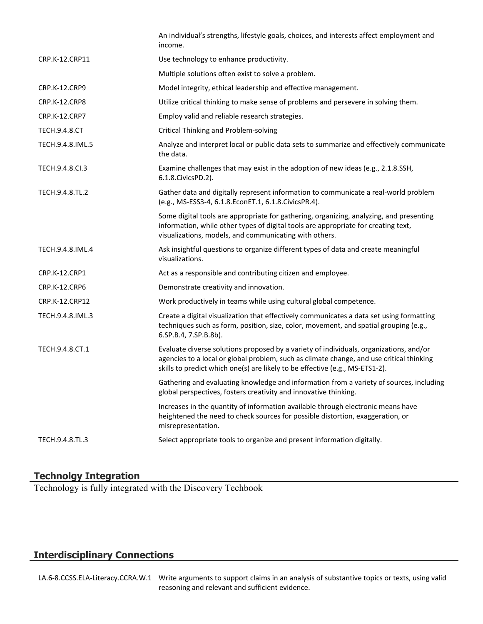|                      | An individual's strengths, lifestyle goals, choices, and interests affect employment and<br>income.                                                                                                                                                                |  |  |  |
|----------------------|--------------------------------------------------------------------------------------------------------------------------------------------------------------------------------------------------------------------------------------------------------------------|--|--|--|
| CRP.K-12.CRP11       | Use technology to enhance productivity.                                                                                                                                                                                                                            |  |  |  |
|                      | Multiple solutions often exist to solve a problem.                                                                                                                                                                                                                 |  |  |  |
| <b>CRP.K-12.CRP9</b> | Model integrity, ethical leadership and effective management.                                                                                                                                                                                                      |  |  |  |
| <b>CRP.K-12.CRP8</b> | Utilize critical thinking to make sense of problems and persevere in solving them.                                                                                                                                                                                 |  |  |  |
| CRP.K-12.CRP7        | Employ valid and reliable research strategies.                                                                                                                                                                                                                     |  |  |  |
| <b>TECH.9.4.8.CT</b> | <b>Critical Thinking and Problem-solving</b>                                                                                                                                                                                                                       |  |  |  |
| TECH.9.4.8.IML.5     | Analyze and interpret local or public data sets to summarize and effectively communicate<br>the data.                                                                                                                                                              |  |  |  |
| TECH.9.4.8.CI.3      | Examine challenges that may exist in the adoption of new ideas (e.g., 2.1.8.SSH,<br>6.1.8. Civics PD. 2).                                                                                                                                                          |  |  |  |
| TECH.9.4.8.TL.2      | Gather data and digitally represent information to communicate a real-world problem<br>(e.g., MS-ESS3-4, 6.1.8.EconET.1, 6.1.8.CivicsPR.4).                                                                                                                        |  |  |  |
|                      | Some digital tools are appropriate for gathering, organizing, analyzing, and presenting<br>information, while other types of digital tools are appropriate for creating text,<br>visualizations, models, and communicating with others.                            |  |  |  |
| TECH.9.4.8.IML.4     | Ask insightful questions to organize different types of data and create meaningful<br>visualizations.                                                                                                                                                              |  |  |  |
| CRP.K-12.CRP1        | Act as a responsible and contributing citizen and employee.                                                                                                                                                                                                        |  |  |  |
| <b>CRP.K-12.CRP6</b> | Demonstrate creativity and innovation.                                                                                                                                                                                                                             |  |  |  |
| CRP.K-12.CRP12       | Work productively in teams while using cultural global competence.                                                                                                                                                                                                 |  |  |  |
| TECH.9.4.8.IML.3     | Create a digital visualization that effectively communicates a data set using formatting<br>techniques such as form, position, size, color, movement, and spatial grouping (e.g.,<br>6.SP.B.4, 7.SP.B.8b).                                                         |  |  |  |
| TECH.9.4.8.CT.1      | Evaluate diverse solutions proposed by a variety of individuals, organizations, and/or<br>agencies to a local or global problem, such as climate change, and use critical thinking<br>skills to predict which one(s) are likely to be effective (e.g., MS-ETS1-2). |  |  |  |
|                      | Gathering and evaluating knowledge and information from a variety of sources, including<br>global perspectives, fosters creativity and innovative thinking.                                                                                                        |  |  |  |
|                      | Increases in the quantity of information available through electronic means have<br>heightened the need to check sources for possible distortion, exaggeration, or<br>misrepresentation.                                                                           |  |  |  |
| TECH.9.4.8.TL.3      | Select appropriate tools to organize and present information digitally.                                                                                                                                                                                            |  |  |  |
|                      |                                                                                                                                                                                                                                                                    |  |  |  |

#### **Technolgy Integration**

Technology is fully integrated with the Discovery Techbook

# **Interdisciplinary Connections**

LA.6-8.CCSS.ELA-Literacy.CCRA.W.1 Write arguments to support claims in an analysis of substantive topics or texts, using valid reasoning and relevant and sufficient evidence.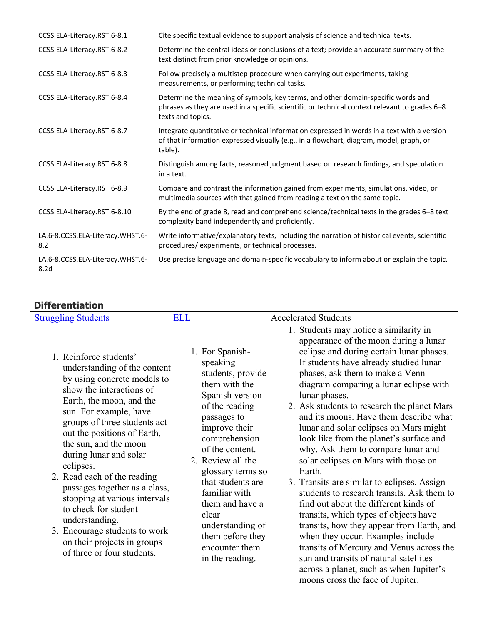| CCSS.ELA-Literacy.RST.6-8.1                          | Cite specific textual evidence to support analysis of science and technical texts.                                                                                                                     |
|------------------------------------------------------|--------------------------------------------------------------------------------------------------------------------------------------------------------------------------------------------------------|
| CCSS.ELA-Literacy.RST.6-8.2                          | Determine the central ideas or conclusions of a text; provide an accurate summary of the<br>text distinct from prior knowledge or opinions.                                                            |
| CCSS.ELA-Literacy.RST.6-8.3                          | Follow precisely a multistep procedure when carrying out experiments, taking<br>measurements, or performing technical tasks.                                                                           |
| CCSS.ELA-Literacy.RST.6-8.4                          | Determine the meaning of symbols, key terms, and other domain-specific words and<br>phrases as they are used in a specific scientific or technical context relevant to grades 6-8<br>texts and topics. |
| CCSS.ELA-Literacy.RST.6-8.7                          | Integrate quantitative or technical information expressed in words in a text with a version<br>of that information expressed visually (e.g., in a flowchart, diagram, model, graph, or<br>table).      |
| CCSS.ELA-Literacy.RST.6-8.8                          | Distinguish among facts, reasoned judgment based on research findings, and speculation<br>in a text.                                                                                                   |
| CCSS.ELA-Literacy.RST.6-8.9                          | Compare and contrast the information gained from experiments, simulations, video, or<br>multimedia sources with that gained from reading a text on the same topic.                                     |
| CCSS.ELA-Literacy.RST.6-8.10                         | By the end of grade 8, read and comprehend science/technical texts in the grades 6-8 text<br>complexity band independently and proficiently.                                                           |
| LA.6-8.CCSS.ELA-Literacy.WHST.6-<br>8.2              | Write informative/explanatory texts, including the narration of historical events, scientific<br>procedures/experiments, or technical processes.                                                       |
| LA.6-8.CCSS.ELA-Literacy.WHST.6-<br>8.2 <sub>d</sub> | Use precise language and domain-specific vocabulary to inform about or explain the topic.                                                                                                              |

# **Differentiation**

| PIII ci ci uauvi i                                                                                                                                                                                                                                                                                                                                                                                                                                                                                                                              |                                                                                           |                                                                                                                                                                                                                                                                                                                                                                                                                                                                                                                                                                                                                                                                                                                                                                                                                                                                                                                                                                                                                                                                                                                                                                            |
|-------------------------------------------------------------------------------------------------------------------------------------------------------------------------------------------------------------------------------------------------------------------------------------------------------------------------------------------------------------------------------------------------------------------------------------------------------------------------------------------------------------------------------------------------|-------------------------------------------------------------------------------------------|----------------------------------------------------------------------------------------------------------------------------------------------------------------------------------------------------------------------------------------------------------------------------------------------------------------------------------------------------------------------------------------------------------------------------------------------------------------------------------------------------------------------------------------------------------------------------------------------------------------------------------------------------------------------------------------------------------------------------------------------------------------------------------------------------------------------------------------------------------------------------------------------------------------------------------------------------------------------------------------------------------------------------------------------------------------------------------------------------------------------------------------------------------------------------|
| <b>Struggling Students</b>                                                                                                                                                                                                                                                                                                                                                                                                                                                                                                                      | <b>ELL</b>                                                                                | <b>Accelerated Students</b>                                                                                                                                                                                                                                                                                                                                                                                                                                                                                                                                                                                                                                                                                                                                                                                                                                                                                                                                                                                                                                                                                                                                                |
| 1. Reinforce students'<br>understanding of the content<br>by using concrete models to<br>show the interactions of<br>Earth, the moon, and the<br>sun. For example, have<br>groups of three students act<br>out the positions of Earth,<br>the sun, and the moon<br>during lunar and solar<br>eclipses.<br>2. Read each of the reading<br>passages together as a class,<br>stopping at various intervals<br>to check for student<br>understanding.<br>3. Encourage students to work<br>on their projects in groups<br>of three or four students. | 1. For Spanish-<br>speaking<br>passages to<br>2. Review all the<br>familiar with<br>clear | 1. Students may notice a similarity in<br>appearance of the moon during a lunar<br>eclipse and during certain lunar phases.<br>If students have already studied lunar<br>students, provide<br>phases, ask them to make a Venn<br>them with the<br>diagram comparing a lunar eclipse with<br>Spanish version<br>lunar phases.<br>of the reading<br>2. Ask students to research the planet Mars<br>and its moons. Have them describe what<br>improve their<br>lunar and solar eclipses on Mars might<br>comprehension<br>look like from the planet's surface and<br>of the content.<br>why. Ask them to compare lunar and<br>solar eclipses on Mars with those on<br>Earth.<br>glossary terms so<br>that students are<br>3. Transits are similar to eclipses. Assign<br>students to research transits. Ask them to<br>them and have a<br>find out about the different kinds of<br>transits, which types of objects have<br>understanding of<br>transits, how they appear from Earth, and<br>them before they<br>when they occur. Examples include<br>encounter them<br>transits of Mercury and Venus across the<br>sun and transits of natural satellites<br>in the reading. |
|                                                                                                                                                                                                                                                                                                                                                                                                                                                                                                                                                 |                                                                                           | across a planet, such as when Jupiter's                                                                                                                                                                                                                                                                                                                                                                                                                                                                                                                                                                                                                                                                                                                                                                                                                                                                                                                                                                                                                                                                                                                                    |

moons cross the face of Jupiter.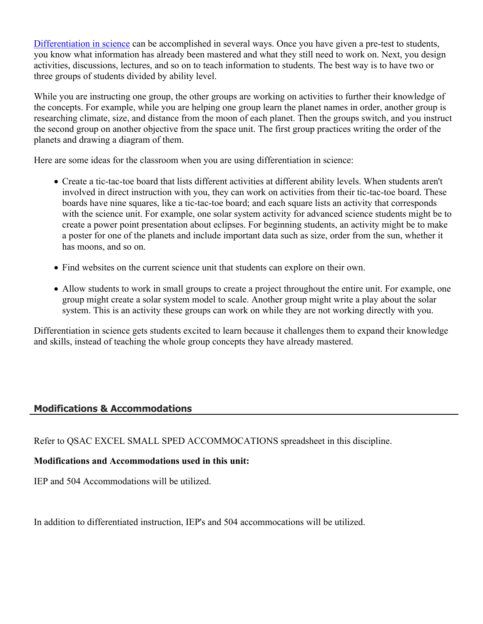[Differentiation in science](http://www.brighthubeducation.com/teaching-gifted-students/65181-differentiation-techniques-and-activities-in-the-classroom-for-gifted-students/) can be accomplished in several ways. Once you have given a pre-test to students, you know what information has already been mastered and what they still need to work on. Next, you design activities, discussions, lectures, and so on to teach information to students. The best way is to have two or three groups of students divided by ability level.

While you are instructing one group, the other groups are working on activities to further their knowledge of the concepts. For example, while you are helping one group learn the planet names in order, another group is researching climate, size, and distance from the moon of each planet. Then the groups switch, and you instruct the second group on another objective from the space unit. The first group practices writing the order of the planets and drawing a diagram of them.

Here are some ideas for the classroom when you are using differentiation in science:

- Create a tic-tac-toe board that lists different activities at different ability levels. When students aren't involved in direct instruction with you, they can work on activities from their tic-tac-toe board. These boards have nine squares, like a tic-tac-toe board; and each square lists an activity that corresponds with the science unit. For example, one solar system activity for advanced science students might be to create a power point presentation about eclipses. For beginning students, an activity might be to make a poster for one of the planets and include important data such as size, order from the sun, whether it has moons, and so on.
- Find websites on the current science unit that students can explore on their own.
- Allow students to work in small groups to create a project throughout the entire unit. For example, one group might create a solar system model to scale. Another group might write a play about the solar system. This is an activity these groups can work on while they are not working directly with you.

Differentiation in science gets students excited to learn because it challenges them to expand their knowledge and skills, instead of teaching the whole group concepts they have already mastered.

#### **Modifications & Accommodations**

Refer to QSAC EXCEL SMALL SPED ACCOMMOCATIONS spreadsheet in this discipline.

#### **Modifications and Accommodations used in this unit:**

IEP and 504 Accommodations will be utilized.

In addition to differentiated instruction, IEP's and 504 accommocations will be utilized.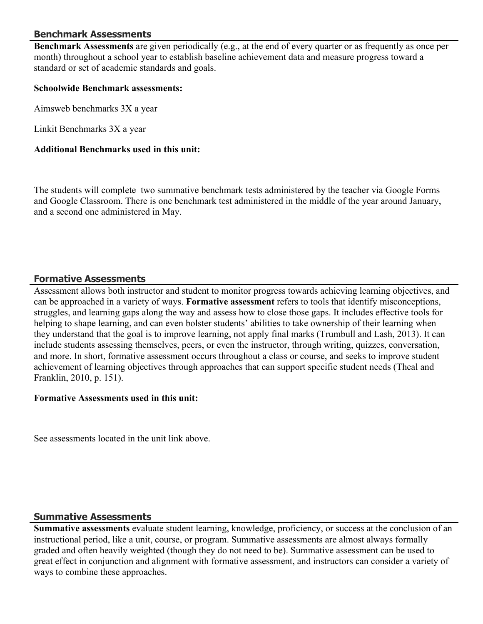#### **Benchmark Assessments**

**Benchmark Assessments** are given periodically (e.g., at the end of every quarter or as frequently as once per month) throughout a school year to establish baseline achievement data and measure progress toward a standard or set of academic standards and goals.

#### **Schoolwide Benchmark assessments:**

Aimsweb benchmarks 3X a year

Linkit Benchmarks 3X a year

#### **Additional Benchmarks used in this unit:**

The students will complete two summative benchmark tests administered by the teacher via Google Forms and Google Classroom. There is one benchmark test administered in the middle of the year around January, and a second one administered in May.

#### **Formative Assessments**

Assessment allows both instructor and student to monitor progress towards achieving learning objectives, and can be approached in a variety of ways. **Formative assessment** refers to tools that identify misconceptions, struggles, and learning gaps along the way and assess how to close those gaps. It includes effective tools for helping to shape learning, and can even bolster students' abilities to take ownership of their learning when they understand that the goal is to improve learning, not apply final marks (Trumbull and Lash, 2013). It can include students assessing themselves, peers, or even the instructor, through writing, quizzes, conversation, and more. In short, formative assessment occurs throughout a class or course, and seeks to improve student achievement of learning objectives through approaches that can support specific student needs (Theal and Franklin, 2010, p. 151).

#### **Formative Assessments used in this unit:**

See assessments located in the unit link above.

#### **Summative Assessments**

**Summative assessments** evaluate student learning, knowledge, proficiency, or success at the conclusion of an instructional period, like a unit, course, or program. Summative assessments are almost always formally graded and often heavily weighted (though they do not need to be). Summative assessment can be used to great effect in conjunction and alignment with formative assessment, and instructors can consider a variety of ways to combine these approaches.